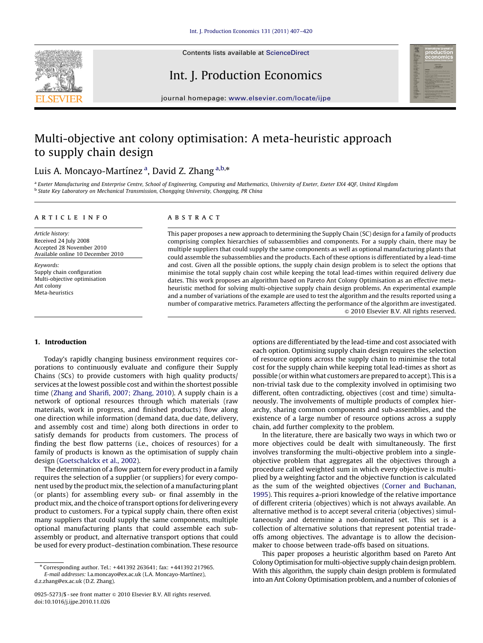

Contents lists available at ScienceDirect

## Int. J. Production Economics



journal homepage: <www.elsevier.com/locate/ijpe>

# Multi-objective ant colony optimisation: A meta-heuristic approach to supply chain design

### Luis A. Moncayo-Martínez <sup>a</sup>, David Z. Zhang <sup>a,b,</sup>\*

<sup>a</sup> Exeter Manufacturing and Enterprise Centre, School of Engineering, Computing and Mathematics, University of Exeter, Exeter EX4 40F, United Kingdom <sup>b</sup> State Key Laboratory on Mechanical Transmission, Chongqing University, Chongqing, PR China

#### article info

Article history: Received 24 July 2008 Accepted 28 November 2010 Available online 10 December 2010

Keywords: Supply chain configuration Multi-objective optimisation Ant colony Meta-heuristics

#### **ABSTRACT**

This paper proposes a new approach to determining the Supply Chain (SC) design for a family of products comprising complex hierarchies of subassemblies and components. For a supply chain, there may be multiple suppliers that could supply the same components as well as optional manufacturing plants that could assemble the subassemblies and the products. Each of these options is differentiated by a lead-time and cost. Given all the possible options, the supply chain design problem is to select the options that minimise the total supply chain cost while keeping the total lead-times within required delivery due dates. This work proposes an algorithm based on Pareto Ant Colony Optimisation as an effective metaheuristic method for solving multi-objective supply chain design problems. An experimental example and a number of variations of the example are used to test the algorithm and the results reported using a number of comparative metrics. Parameters affecting the performance of the algorithm are investigated.  $© 2010 Elsevier B.V. All rights reserved.$ 

#### 1. Introduction

Today's rapidly changing business environment requires corporations to continuously evaluate and configure their Supply Chains (SCs) to provide customers with high quality products/ services at the lowest possible cost and within the shortest possible time [\(Zhang and Sharifi, 2007; Zhang, 2010\)](#page--1-0). A supply chain is a network of optional resources through which materials (raw materials, work in progress, and finished products) flow along one direction while information (demand data, due date, delivery, and assembly cost and time) along both directions in order to satisfy demands for products from customers. The process of finding the best flow patterns (i.e., choices of resources) for a family of products is known as the optimisation of supply chain design [\(Goetschalckx et al., 2002](#page--1-0)).

The determination of a flow pattern for every product in a family requires the selection of a supplier (or suppliers) for every component used by the product mix, the selection of a manufacturing plant (or plants) for assembling every sub- or final assembly in the product mix, and the choice of transport options for delivering every product to customers. For a typical supply chain, there often exist many suppliers that could supply the same components, multiple optional manufacturing plants that could assemble each subassembly or product, and alternative transport options that could be used for every product–destination combination. These resource

options are differentiated by the lead-time and cost associated with each option. Optimising supply chain design requires the selection of resource options across the supply chain to minimise the total cost for the supply chain while keeping total lead-times as short as possible (or within what customers are prepared to accept). This is a non-trivial task due to the complexity involved in optimising two different, often contradicting, objectives (cost and time) simultaneously. The involvements of multiple products of complex hierarchy, sharing common components and sub-assemblies, and the existence of a large number of resource options across a supply chain, add further complexity to the problem.

In the literature, there are basically two ways in which two or more objectives could be dealt with simultaneously. The first involves transforming the multi-objective problem into a singleobjective problem that aggregates all the objectives through a procedure called weighted sum in which every objective is multiplied by a weighting factor and the objective function is calculated as the sum of the weighted objectives ([Corner and Buchanan,](#page--1-0) [1995\)](#page--1-0). This requires a-priori knowledge of the relative importance of different criteria (objectives) which is not always available. An alternative method is to accept several criteria (objectives) simultaneously and determine a non-dominated set. This set is a collection of alternative solutions that represent potential tradeoffs among objectives. The advantage is to allow the decisionmaker to choose between trade-offs based on situations.

This paper proposes a heuristic algorithm based on Pareto Ant Colony Optimisation formulti-objective supply chain design problem. With this algorithm, the supply chain design problem is formulated into an Ant Colony Optimisation problem, and a number of colonies of

<sup>n</sup> Corresponding author. Tel.: +441392 263641; fax: +441392 217965. E-mail addresses: l.a.moncayo@ex.ac.uk (L.A. Moncayo-Martínez),

[d.z.zhang@ex.ac.uk \(D.Z. Zhang\)](mailto:d.z.zhang@ex.ac.uk).

<sup>0925-5273/\$ -</sup> see front matter  $\odot$  2010 Elsevier B.V. All rights reserved. doi:[10.1016/j.ijpe.2010.11.026](dx.doi.org/10.1016/j.ijpe.2010.11.026)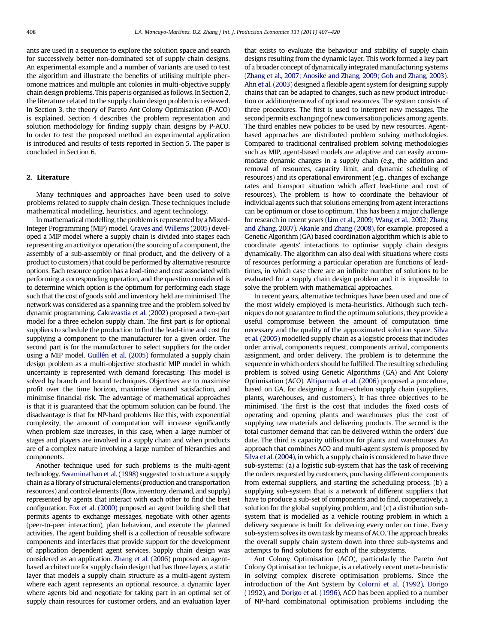ants are used in a sequence to explore the solution space and search for successively better non-dominated set of supply chain designs. An experimental example and a number of variants are used to test the algorithm and illustrate the benefits of utilising multiple pheromone matrices and multiple ant colonies in multi-objective supply chain design problems. This paper is organised as follows. In Section 2, the literature related to the supply chain design problem is reviewed. In Section 3, the theory of Pareto Ant Colony Optimisation (P-ACO) is explained. Section 4 describes the problem representation and solution methodology for finding supply chain designs by P-ACO. In order to test the proposed method an experimental application is introduced and results of tests reported in Section 5. The paper is concluded in Section 6.

#### 2. Literature

Many techniques and approaches have been used to solve problems related to supply chain design. These techniques include mathematical modelling, heuristics, and agent technology.

In mathematical modelling, the problem is represented by a Mixed-Integer Programming (MIP) model. [Graves and Willems \(2005\)](#page--1-0) developed a MIP model where a supply chain is divided into stages each representing an activity or operation (the sourcing of a component, the assembly of a sub-assembly or final product, and the delivery of a product to customers) that could be performed by alternative resource options. Each resource option has a lead-time and cost associated with performing a corresponding operation, and the question considered is to determine which option is the optimum for performing each stage such that the cost of goods sold and inventory held are minimised. The network was considered as a spanning tree and the problem solved by dynamic programming. [Cakravastia et al. \(2002\)](#page--1-0) proposed a two-part model for a three echelon supply chain. The first part is for optional suppliers to schedule the production to find the lead-time and cost for supplying a component to the manufacturer for a given order. The second part is for the manufacturer to select suppliers for the order using a MIP model. Guillén et al. (2005) formulated a supply chain design problem as a multi-objective stochastic MIP model in which uncertainty is represented with demand forecasting. This model is solved by branch and bound techniques. Objectives are to maximise profit over the time horizon, maximise demand satisfaction, and minimise financial risk. The advantage of mathematical approaches is that it is guaranteed that the optimum solution can be found. The disadvantage is that for NP-hard problems like this, with exponential complexity, the amount of computation will increase significantly when problem size increases, in this case, when a large number of stages and players are involved in a supply chain and when products are of a complex nature involving a large number of hierarchies and components.

Another technique used for such problems is the multi-agent technology. [Swaminathan et al. \(1998\)](#page--1-0) suggested to structure a supply chain as a library of structural elements (production and transportation resources) and control elements (flow, inventory, demand, and supply) represented by agents that interact with each other to find the best configuration. [Fox et al. \(2000\)](#page--1-0) proposed an agent building shell that permits agents to exchange messages, negotiate with other agents (peer-to-peer interaction), plan behaviour, and execute the planned activities. The agent building shell is a collection of reusable software components and interfaces that provide support for the development of application dependent agent services. Supply chain design was considered as an application. [Zhang et al. \(2006\)](#page--1-0) proposed an agentbased architecture for supply chain design that has three layers, a static layer that models a supply chain structure as a multi-agent system where each agent represents an optional resource, a dynamic layer where agents bid and negotiate for taking part in an optimal set of supply chain resources for customer orders, and an evaluation layer that exists to evaluate the behaviour and stability of supply chain designs resulting from the dynamic layer. This work formed a key part of a broader concept of dynamically integrated manufacturing systems ([Zhang et al., 2007; Anosike and Zhang, 2009; Goh and Zhang, 2003\)](#page--1-0). [Ahn et al. \(2003\)](#page--1-0) designed a flexible agent system for designing supply chains that can be adapted to changes, such as new product introduction or addition/removal of optional resources. The system consists of three procedures. The first is used to interpret new messages. The second permits exchanging of new conversation policies among agents. The third enables new policies to be used by new resources. Agentbased approaches are distributed problem solving methodologies. Compared to traditional centralised problem solving methodologies such as MIP, agent-based models are adaptive and can easily accommodate dynamic changes in a supply chain (e.g., the addition and removal of resources, capacity limit, and dynamic scheduling of resources) and its operational environment (e.g., changes of exchange rates and transport situation which affect lead-time and cost of resources). The problem is how to coordinate the behaviour of individual agents such that solutions emerging from agent interactions can be optimum or close to optimum. This has been a major challenge for research in recent years [\(Lim et al., 2009; Wang et al., 2002; Zhang](#page--1-0) [and Zhang, 2007](#page--1-0)). [Akanle and Zhang \(2008\),](#page--1-0) for example, proposed a Genetic Algorithm (GA) based coordination algorithm which is able to coordinate agents' interactions to optimise supply chain designs dynamically. The algorithm can also deal with situations where costs of resources performing a particular operation are functions of leadtimes, in which case there are an infinite number of solutions to be evaluated for a supply chain design problem and it is impossible to solve the problem with mathematical approaches.

In recent years, alternative techniques have been used and one of the most widely employed is meta-heuristics. Although such techniques do not guarantee to find the optimum solutions, they provide a useful compromise between the amount of computation time necessary and the quality of the approximated solution space. [Silva](#page--1-0) [et al. \(2005\)](#page--1-0) modelled supply chain as a logistic process that includes order arrival, components request, components arrival, components assignment, and order delivery. The problem is to determine the sequence in which orders should be fulfilled. The resulting scheduling problem is solved using Genetic Algorithms (GA) and Ant Colony Optimisation (ACO). [Altiparmak et al. \(2006\)](#page--1-0) proposed a procedure, based on GA, for designing a four-echelon supply chain (suppliers, plants, warehouses, and customers). It has three objectives to be minimised. The first is the cost that includes the fixed costs of operating and opening plants and warehouses plus the cost of supplying raw materials and delivering products. The second is the total customer demand that can be delivered within the orders' due date. The third is capacity utilisation for plants and warehouses. An approach that combines ACO and multi-agent system is proposed by [Silva et al. \(2004\),](#page--1-0) in which, a supply chain is considered to have three sub-systems: (a) a logistic sub-system that has the task of receiving the orders requested by customers, purchasing different components from external suppliers, and starting the scheduling process, (b) a supplying sub-system that is a network of different suppliers that have to produce a sub-set of components and to find, cooperatively, a solution for the global supplying problem, and (c) a distribution subsystem that is modelled as a vehicle routing problem in which a delivery sequence is built for delivering every order on time. Every sub-system solves its own task by means of ACO. The approach breaks the overall supply chain system down into three sub-systems and attempts to find solutions for each of the subsystems.

Ant Colony Optimisation (ACO), particularly the Pareto Ant Colony Optimisation technique, is a relatively recent meta-heuristic in solving complex discrete optimisation problems. Since the introduction of the Ant System by [Colorni et al. \(1992\),](#page--1-0) [Dorigo](#page--1-0) [\(1992\),](#page--1-0) and [Dorigo et al. \(1996\)](#page--1-0), ACO has been applied to a number of NP-hard combinatorial optimisation problems including the